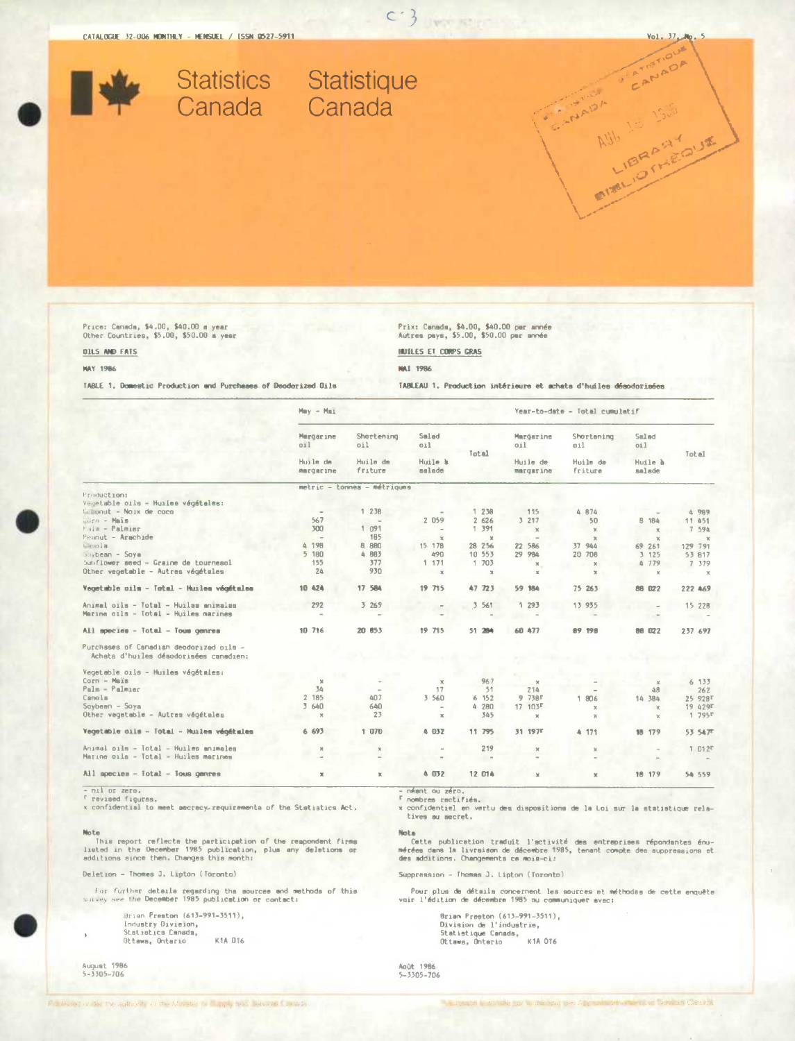Vol. 37, Mp.



Price: Canada, \$4,00, \$40.00 a year<br>Other Countries, \$5.00, \$50.00 a year

**OILS AND FATS MAY 1986** 

# Prix: Canada, \$4.00, \$40.00 per année<br>Autres pays, \$5.00, \$50.00 per année

TABLEAU 1. Production intérieure et achats d'huiles désodorisées

 $c$  }

HUILES ET CORPS GRAS

**MAI 1986** 

TABLE 1. Domestic Production and Purchases of Deodorized Oils

|                                                                                   | $Mmy - M81$           |                             |                   |                         | Year-to-date - Total cumulatif |                       |                   |                     |
|-----------------------------------------------------------------------------------|-----------------------|-----------------------------|-------------------|-------------------------|--------------------------------|-----------------------|-------------------|---------------------|
|                                                                                   | Margarine<br>011      | Shortening<br>oil           | Salad<br>oil      | Total                   | Margarine<br>oil               | Shortening<br>oil     | Smlad<br>0i1      |                     |
|                                                                                   | Huile de<br>margerine | Huile de<br>friture         | Huile h<br>salade |                         | Huile de<br>margarine          | Huils de<br>friture   | Huile à<br>salade | Total               |
|                                                                                   |                       | metric - tonnes - métriques |                   |                         |                                |                       |                   |                     |
| Freduction:                                                                       |                       |                             |                   |                         |                                |                       |                   |                     |
| Vegetable oils - Huilss végétales:<br>Compaut - Noix de coco                      |                       |                             |                   |                         |                                |                       |                   |                     |
|                                                                                   |                       | 1 238                       |                   | 238                     | 115                            | 4 B74                 |                   | 4 989               |
| Eurn - Mais                                                                       | 567<br>300            |                             | 2 059             | 2 626<br>1 391          | 3 217                          | 50                    | <b>B</b> 184      | 11 451              |
| Fain - Palmier                                                                    |                       | 1.091                       | $\sim$            |                         | $\times$                       | $\mathbf{x}$          | $\times$          | 7 594               |
| Peanut - Arachide                                                                 | $\sim$<br>4 198       | 185<br>8 8 8 0              | $\times$          | $\mathbb{R}$<br>28 25 6 | $\sim$                         | $\mathbb{R}$          | $\times$          | $\mathbf{x}$        |
| Langla                                                                            |                       | 4 883                       | 15 178            |                         | 22 586                         | 37 944                | 69 261            | 129 791             |
| $Sovbeam - Sawa$                                                                  | 5 180                 |                             | 490               | 10 553                  | 29 984                         | 20 708                | 3 125             | 53 817              |
| Sunflower seed - Graine de tournesol                                              | 155                   | 377                         | 1 171             | 1 703                   | $\mathbbm{R}$                  | $\boldsymbol{\times}$ | 4779              | 7 379               |
| Other vegetable - Autres végétales                                                | 24                    | 930                         | $\mathbf{x}$      | $\times$                | $\mathbb{R}^n$                 | ×                     | $\chi$            | $\mathbf{x}$        |
| Vegetable cils - Total - Huiles végétales                                         | 10 424                | 17 584                      | 19 715            | 47 723                  | 59 184                         | 75 263                | 88 022            | 222 469             |
| Animal oils - Total - Huilas animalas                                             | 292                   | 3 26 9                      |                   | 3 5 61                  | 1 293                          | 13 935                |                   | 15 228              |
| Marine gils - Total - Huiles marines                                              |                       |                             |                   |                         |                                |                       |                   |                     |
| All apecies - Total - Tous genres                                                 | 10 716                | 20 853                      | 19 715            | 51 284                  | 68 477                         | 89 198                | 88 022            | 237 697             |
| Purchases of Canadian deodorized oils -<br>Achata d'huiles désodorisées canadien: |                       |                             |                   |                         |                                |                       |                   |                     |
| Vegetable oils - Huiles végétmles:                                                |                       |                             |                   |                         |                                |                       |                   |                     |
| Corn - Maïs                                                                       | $\mathbf{x}$          |                             | $\mathbf x$       | 967                     | $\mathcal{H}$                  |                       | $\mathcal{R}$     | 6 133               |
| Palm - Palmier                                                                    | 34                    |                             | 17                | 51                      | 214                            |                       | 48                | 262                 |
| Canola                                                                            | 2 185                 | 407                         | 3 560             | 6 152                   | $9738$ $r$                     | 806<br>1              | 14 384            | 25 928T             |
| $Savben - Soya$                                                                   | 3 640                 | 640                         | $\sim$            | 4 280                   | 17.103F                        | ×                     | $\chi$            | 19 429T             |
| Other vegetable - Autres végétales                                                | $\boldsymbol{\times}$ | 23                          | $\mathbb{X}$      | 345                     | $\mathbb{X}$                   | $\mathbb{X}$          | $\times$          | 1795                |
| Vegetable oils - Total - Huiles végétales                                         | 6 693                 | 1070                        | 4 032             | 11 795                  | 31 197 <sup>T</sup>            | 4 171                 | 18 179            | 53 547 <sup>°</sup> |
| Animal pils - Total - Huiles animales                                             | $\mathbf x$           | $\mathbb{X}$                | $\,$              | 219                     | $\mathbf x$                    | x                     |                   | $1012$ <sup>r</sup> |
| Marine oils - Total - Huiles marines                                              | $\overline{a}$        |                             |                   | $\qquad$                |                                |                       |                   |                     |
| All species - Total - Tous genres                                                 | ×                     | ĸ                           | 4 032             | 12 014                  | $\times$                       | $\mathbf x$           | 18 179            | 54 559              |

- nil or zero.<br><sup>r</sup> revised figuras.

x confidential to meet secrecy requirements of the Statistics Act.

Note<br>This report reflects the participation of the respondent firms<br>listed in the December 1985 publication, plus any deletions or<br>additions since then, Changes this month:

Deletion - Thomes J. Lipton (Toronto)

For further details regarding the sourcee and methods of this<br>survey see the December 1985 publication or contact:

Brian Preston (613-991-3511). acian creston (61)-<br>Industry Divielon,<br>Statistics Canada,<br>Ottawa, Ontario K1A 016

August 1986<br>5-3305-706

- néant ou zéro.<br>\* nombres rectifiés.<br>\* confidential en vertu des dispositions de la Loi sur la statistique rela-<br>\* tives au secret.

Nota

nota<br>Cette publication traduit l'activité des entreprises répondantes énu-<br>mérées dans la livraison de décembre 1985, tenant compte des auppressions et<br>des additions. Changements ce mois-ci:

Suppression - Thomas J. Lipton (Toronto)

Pour plus de détails concernant les sources et méthodes de cette enquête<br>voir l'édition de décembre 1985 ou communiquer avec:

Brian Preston (613-991-3511),<br>Division de l'industrie,<br>Statistique Canada,<br>Ottawa, Onterio – K1A OT6

Août 1986<br>5-3305-706